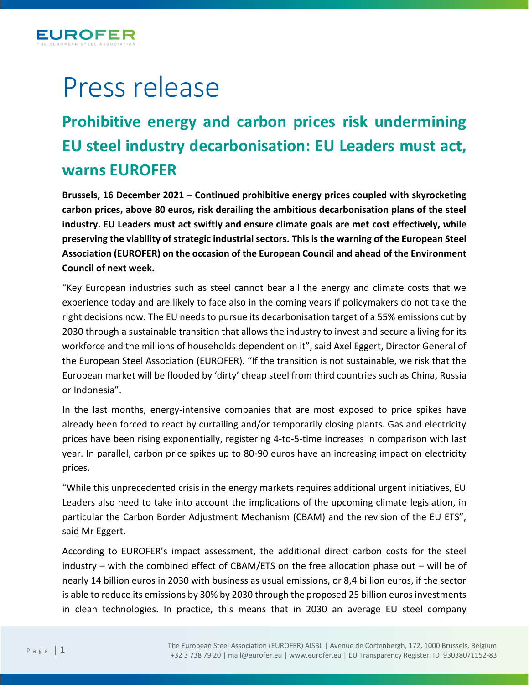

## Press release

## **Prohibitive energy and carbon prices risk undermining EU steel industry decarbonisation: EU Leaders must act, warns EUROFER**

**Brussels, 16 December 2021 – Continued prohibitive energy prices coupled with skyrocketing carbon prices, above 80 euros, risk derailing the ambitious decarbonisation plans of the steel industry. EU Leaders must act swiftly and ensure climate goals are met cost effectively, while preserving the viability of strategic industrial sectors. This is the warning of the European Steel Association (EUROFER) on the occasion of the European Council and ahead of the Environment Council of next week.** 

"Key European industries such as steel cannot bear all the energy and climate costs that we experience today and are likely to face also in the coming years if policymakers do not take the right decisions now. The EU needs to pursue its decarbonisation target of a 55% emissions cut by 2030 through a sustainable transition that allows the industry to invest and secure a living for its workforce and the millions of households dependent on it", said Axel Eggert, Director General of the European Steel Association (EUROFER). "If the transition is not sustainable, we risk that the European market will be flooded by 'dirty' cheap steel from third countries such as China, Russia or Indonesia".

In the last months, energy-intensive companies that are most exposed to price spikes have already been forced to react by curtailing and/or temporarily closing plants. Gas and electricity prices have been rising exponentially, registering 4-to-5-time increases in comparison with last year. In parallel, carbon price spikes up to 80-90 euros have an increasing impact on electricity prices.

"While this unprecedented crisis in the energy markets requires additional urgent initiatives, EU Leaders also need to take into account the implications of the upcoming climate legislation, in particular the Carbon Border Adjustment Mechanism (CBAM) and the revision of the EU ETS", said Mr Eggert.

According to EUROFER's impact assessment, the additional direct carbon costs for the steel industry – with the combined effect of CBAM/ETS on the free allocation phase out – will be of nearly 14 billion euros in 2030 with business as usual emissions, or 8,4 billion euros, if the sector is able to reduce its emissions by 30% by 2030 through the proposed 25 billion euros investments in clean technologies. In practice, this means that in 2030 an average EU steel company